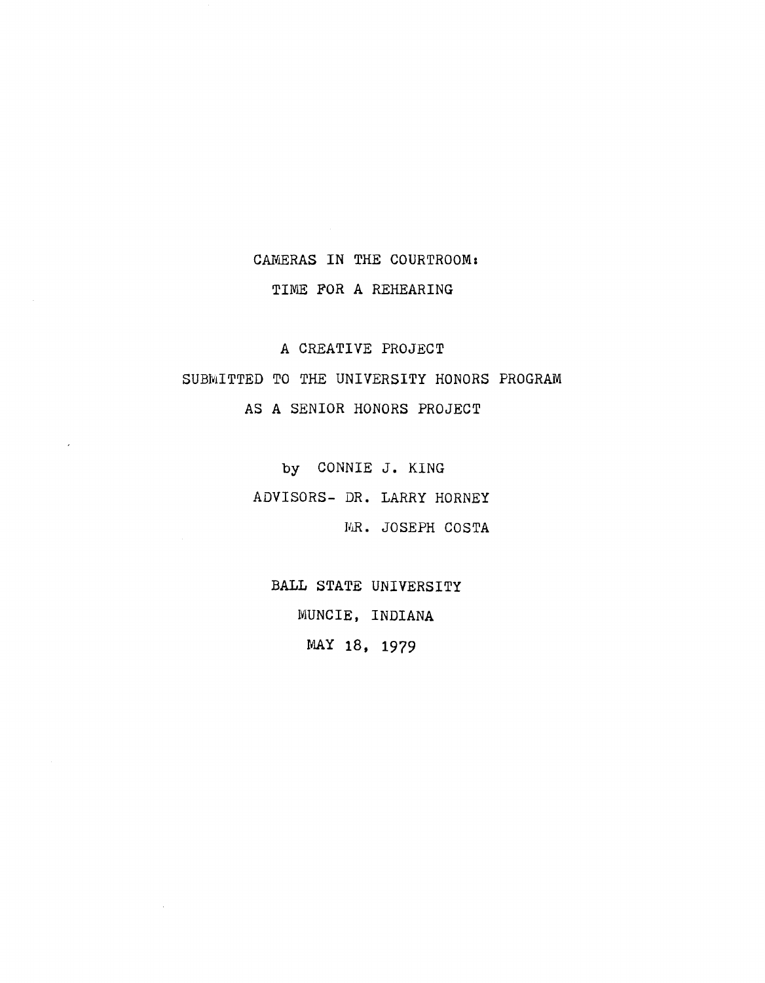## CAMERAS IN THE COURTROOM: TIME FOR A REHEARING

A CREATIVE PROJECT

SUBMITTED TO THE UNIVERSITY HONORS PROGRAM AS A SENIOR HONORS PROJECT

by CONNIE J. KING

ADVISORS- DR. LARRY HORNEY

MR. JOSEPH COSTA

BALL STATE UNIVERSITY MUNCIE, INDIANA MAY 18, 1979

 $\bar{\mathcal{A}}$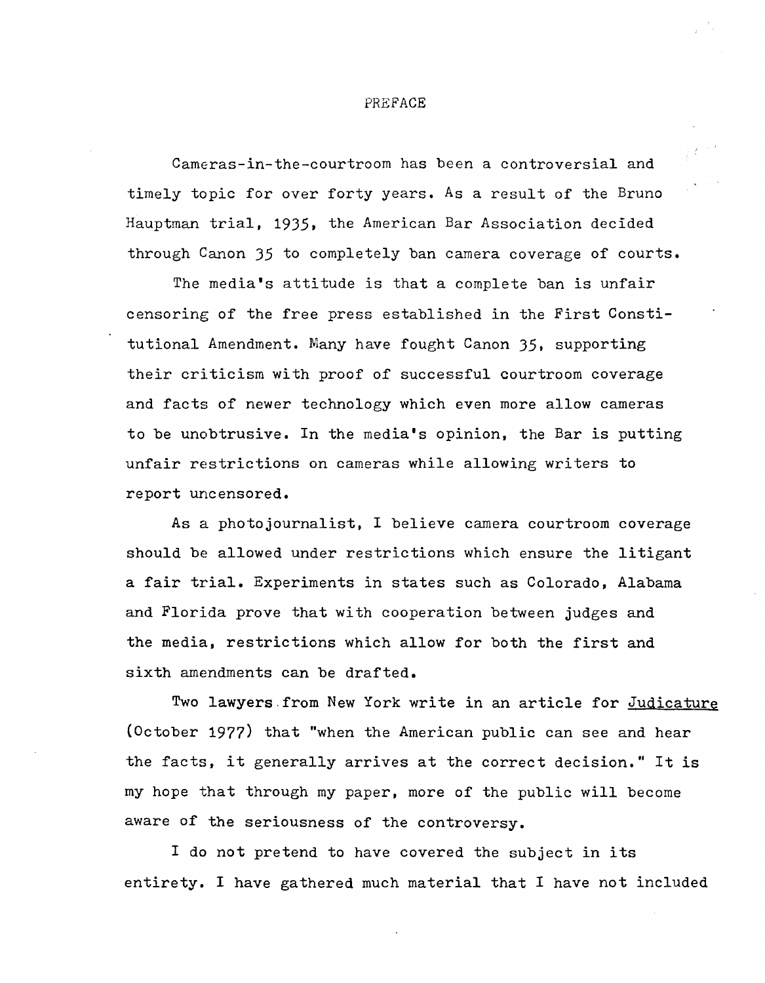## PREFACE

Cameras-in-the-courtroom has been a controversial and timely topic for over forty years. As a result of the Bruno Hauptman trial, 1935, the American Bar Association decided through Canon 35 to completely ban camera coverage of courts.

The media's attitude is that a complete ban is unfair censoring of the free press established in the First Constitutional Amendment. Many have fought Canon 35, supporting their criticism with proof of successful courtroom coverage and facts of newer technology which even more allow cameras to be unobtrusive. In the media's opinion, the Bar is putting unfair restrictions on cameras while allowing writers to report uncensored.

As a photojournalist, I believe camera courtroom coverage should be allowed under restrictions which ensure the litigant a fair trial. Experiments in states such as Colorado, Alabama and Florida prove that with cooperation between judges and the media, restrictions which allow for both the first and sixth amendments can be drafted.

Two lawyers from New York write in an article for Judicature (October 1977) that "when the American public can see and hear the facts, it generally arrives at the correct decision." It is my hope that through my paper, more of the public will become aware of the seriousness of the controversy.

I do not pretend to have covered the subject in its entirety. I have gathered much material that I have not included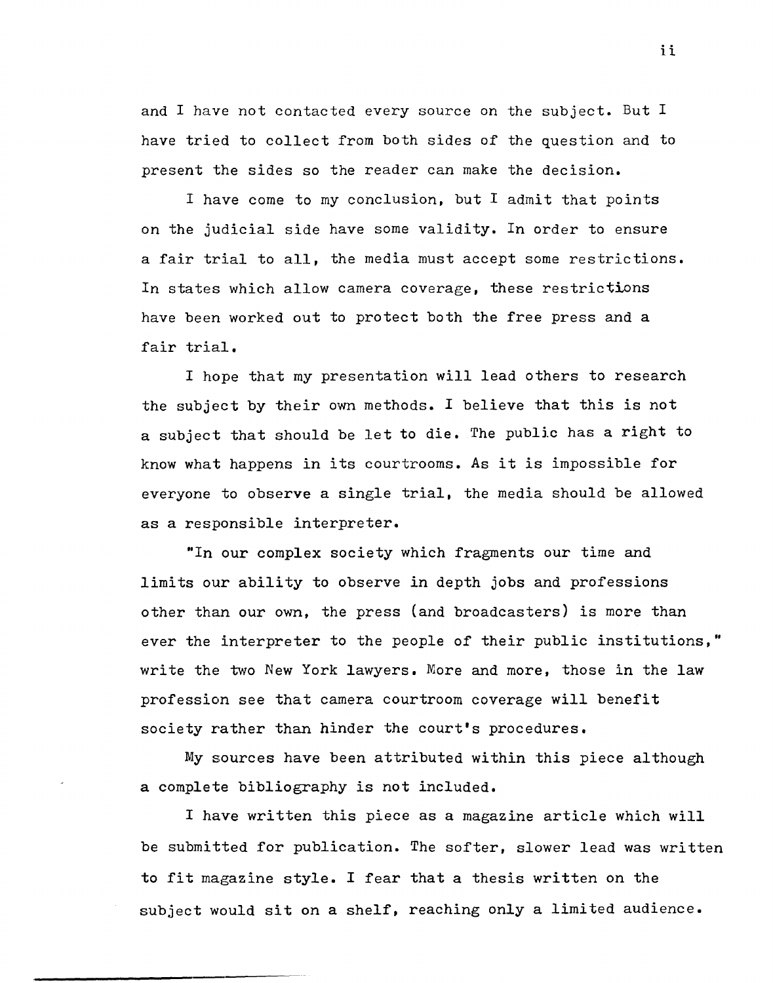and I have not contacted every source on the subject. But I have tried to collect from both sides of the question and to present the sides so the reader can make the decision.

I have come to my conclusion, but I admit that points on the judicial side have some validity. In order to ensure a fair trial to all, the media must accept some restrictions. In states which allow camera coverage, these restrictions have been worked out to protect both the free press and a fair trial.

I *hope* that my presentation will lead others to research the subject by their own methods. I believe that this is not a subject that should be let to die. The public has a right to know what happens in its courtrooms. As it is impossible for everyone to observe a single trial, the media should be allowed as a responsible interpreter.

"In our *complex* society which fragments our time and limits our ability to observe in depth jobs and professions other than our own, the press (and broadcasters) is more than ever the interpreter to the *people* of their public institutions," write the two New York lawyers. More and more, those in the law profession see that camera courtroom coverage will benefit society rather than hinder the court's procedures.

My sources have been attributed within this *piece* although a complete bibliography is not included.

I have written this *piece* as a magazine article which will be submitted for publication. The softer, slower lead was written to fit magazine style. I fear that a thesis written on the subject would sit on a shelf, reaching only a limited audience.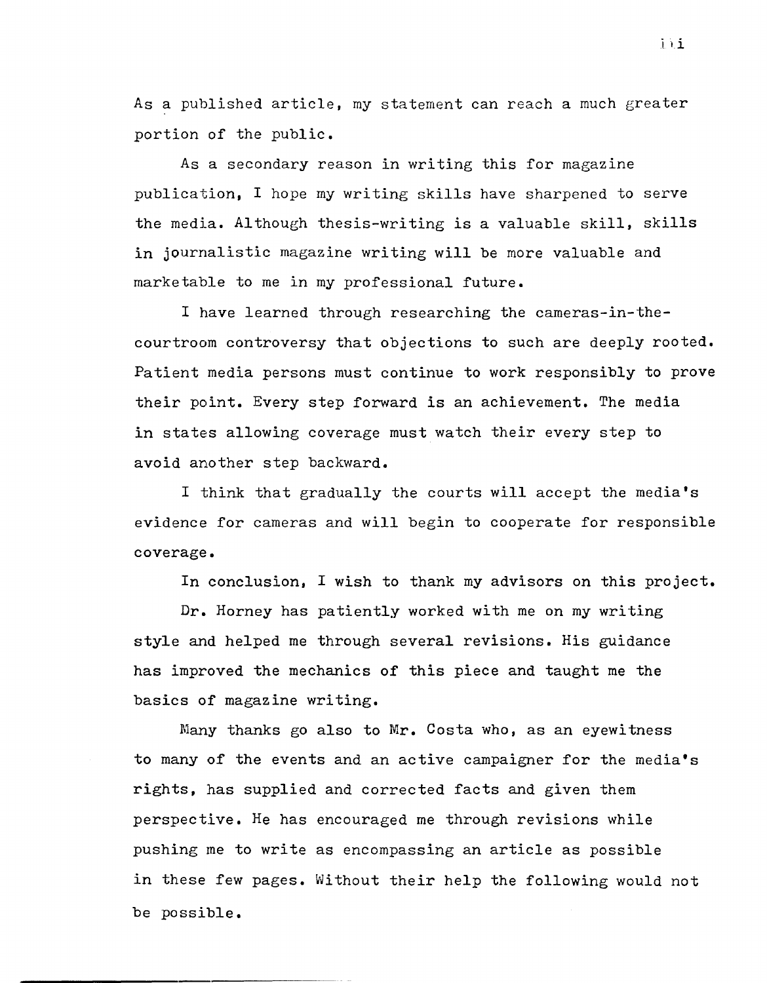As a published article, my statement can reach a much greater portion of the public.

As a secondary reason in writing this for magazine publication, I hope my writing skills have sharpened to serve the media. Although thesis-writing is a valuable skill, skills in journalistic magazine writing will be more valuable and marketable to me in my professional future.

I have learned through researching the cameras-in-thecourtroom controversy that objections to such are deeply rooted. Patient media persons must continue to work responsibly to prove their point. Every step forward is an achievement. The media in states allowing coverage must watch their every step to avoid another step backward.

I think that gradually the courts will accept the media's evidence for cameras and will begin to cooperate for responsible coverage.

In conclusion, I wish to thank my advisors on this project.

Dr. Horney has patiently worked with me on my writing style and helped me through several revisions. His guidance has improved the mechanics of this piece and taught me the basics of magazine writing.

Many thanks go also to Mr. Costa who, as an eyewitness to many of the events and an active campaigner for the media's rights, has supplied and corrected facts and given them perspective. He has encouraged me through revisions while pushing me to write as encompassing an article as possible in these few pages. Without their help the following would not be possible.

iii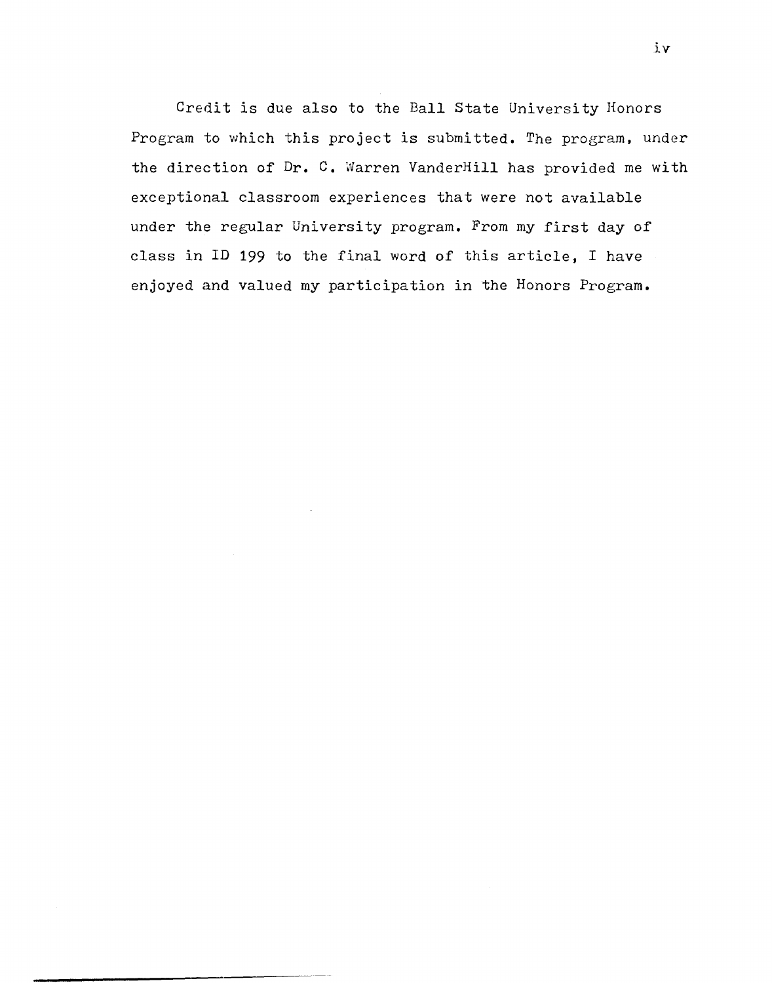Credit is due also to the Ball State University Honors Program to which this project is submitted. The program, under the direction of Dr. C. Warren VanderHill has provided me with exceptional classroom experiences that were not available under the regular University program. From my first day of class in ID 199 to the final word of this article, I have enjoyed and valued my participation in the Honors Program.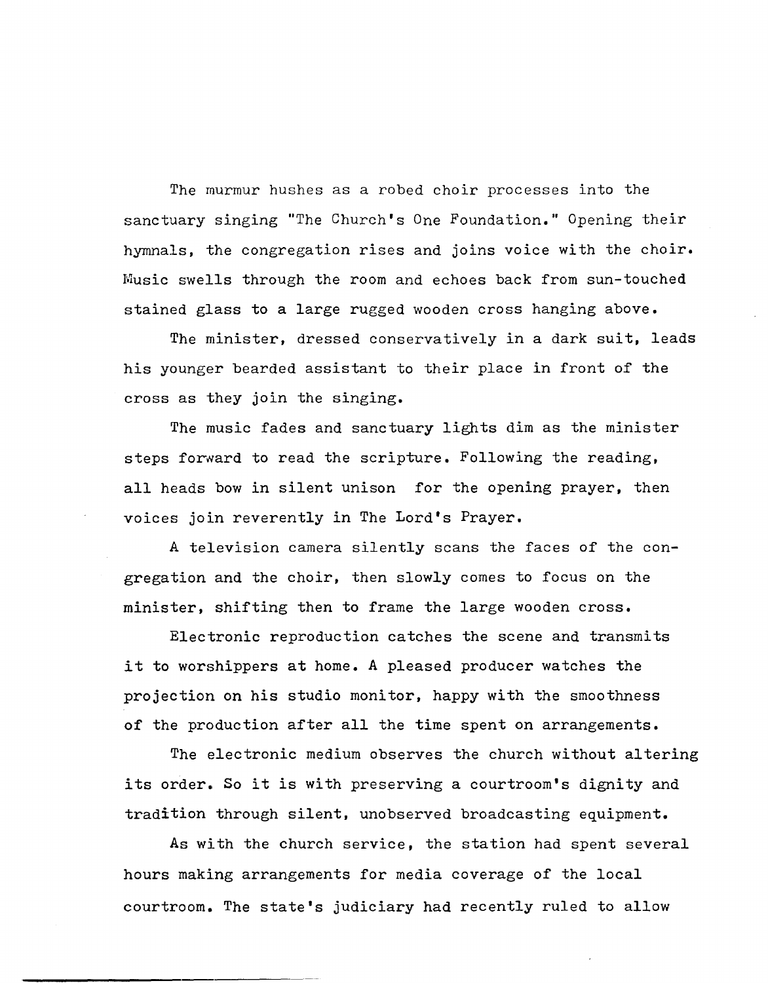The murmur hushes as a robed choir processes into the sanctuary singing "The Church's One Foundation." Opening their hymnals, the congregation rises and joins voice with the choir. Music swells through the room and echoes back from sun-touched stained glass to a large rugged wooden cross hanging above.

The minister, dressed conservatively in a dark suit, leads his younger bearded assistant to their place in front of the cross as they join the singing.

The music fades and sanctuary lights dim as the minister steps forward to read the scripture. Following the reading, all heads bow in silent unison for the opening prayer, then voices join reverently in The Lord's Prayer.

A television camera silently scans the faces of the congregation and the choir, then slowly comes to focus on the minister, shifting then to frame the large wooden cross.

Electronic reproduction catches the scene and transmits it to worshippers at home. A pleased producer watches the projection on his studio monitor, happy with the smoothness of the production after all the time spent on arrangements.

The electronic medium observes the church without altering its order. So it is with preserving a courtroom's dignity and tradition through silent, unobserved broadcasting equipment.

As with the church service, the station had spent several hours making arrangements for media coverage of the local courtroom. The state's judiciary had recently ruled to allow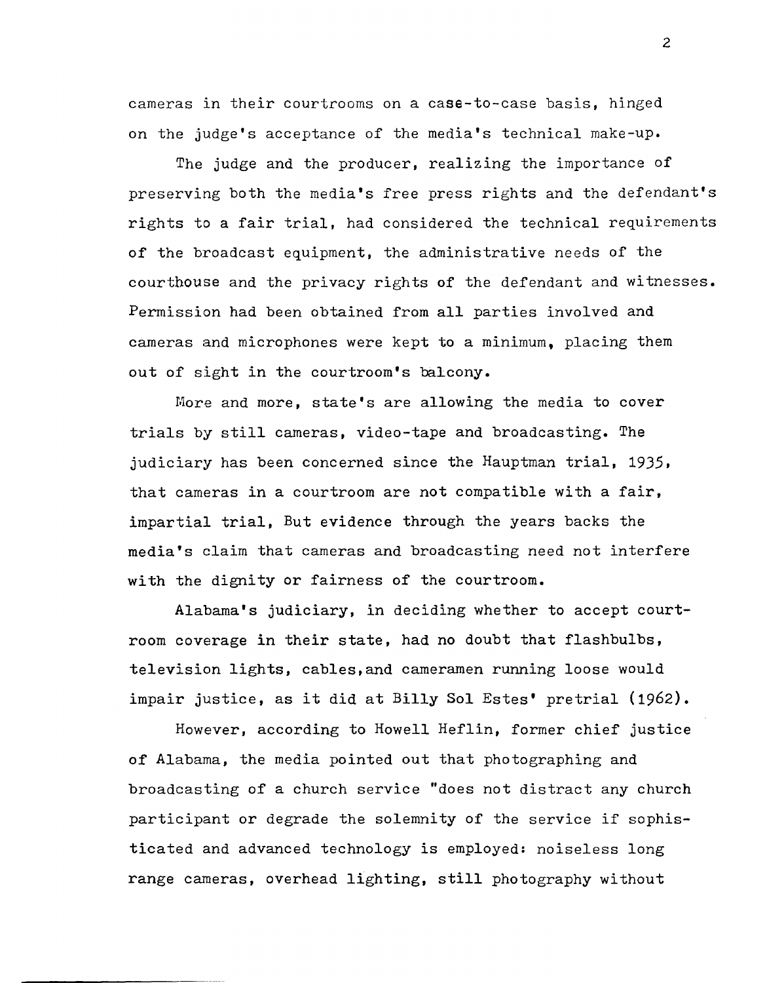cameras in their courtrooms on a case-to-case basis, hinged on the judge's acceptance of the media's technical make-up.

The judge and the producer, realizing the importance of preserving both the media's free press rights and the defendant's rights to a fair trial, had considered the technical requirements of the broadcast equipment, the administrative needs of the courthouse and the privacy rights of the defendant and witnesses. Permission had been obtained from all parties involved and cameras and microphones were kept to a minimum, placing them out of sight in the courtroom's balcony.

More and more, state's are allowing the media to cover trials by still cameras, video-tape and broadcasting. The judiciary has been concerned since the Hauptman trial,  $1935$ , that cameras in a courtroom are not compatible with a fair, impartial trial, But evidence through the years backs the media's claim that cameras and broadcasting need not interfere with the dignity or fairness of the courtroom.

Alabama's judiciary, in deciding whether to accept courtroom coverage in their state, had no doubt that flashbulbs, television lights, cables,and cameramen running loose would impair justice, as it did at Billy Sol Estes' pretrial {1962}.

However, according to Howell Heflin, former chief justice of Alabama, the media pointed out that photographing and broadcasting of a church service "does not distract any church participant or degrade the solemnity of the service if sophisticated and advanced technology is employed: noiseless long range cameras, overhead lighting, still photography without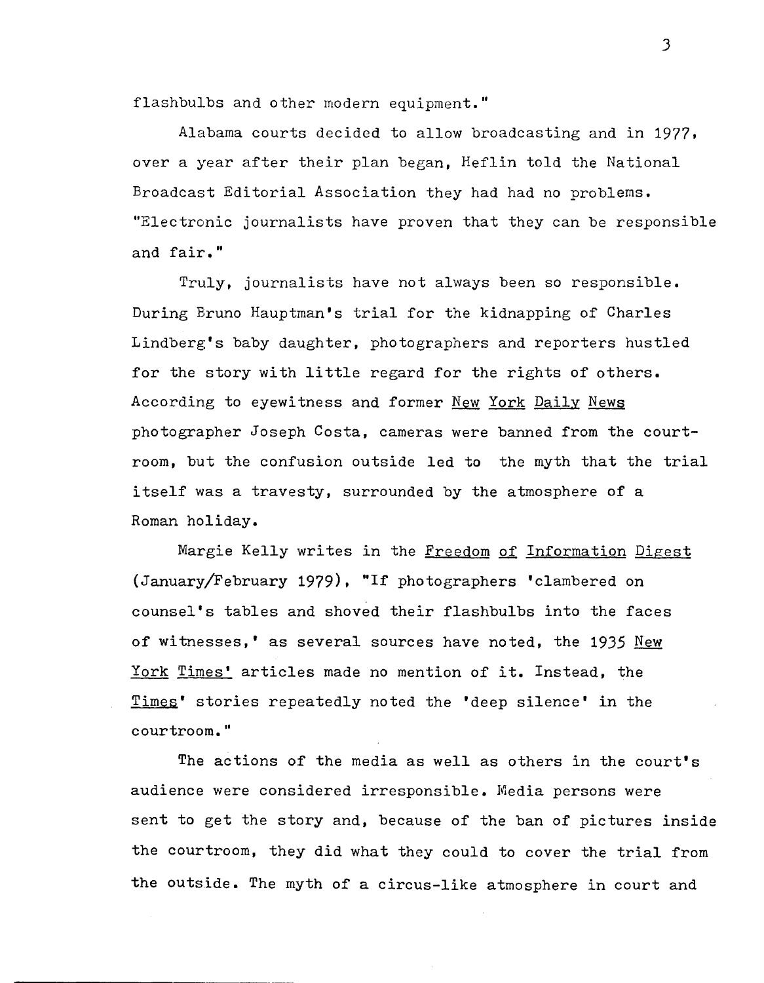flashbulbs and other modern equipment."

Alabama courts decided to allow broadcasting and in 1977, over a year after their plan began, Heflin told the National Broadcast Editorial Association they had had no problems. "Electronic journalists have proven that they can be responsible and fair."

Truly, journalists have not always been so responsible. During Bruno Hauptman's trial for the kidnapping of Charles Lindberg's baby daughter, photographers and reporters hustled for the story with little regard for the rights of others. According to eyewitness and former New York Daily News photographer Joseph Costa, cameras were banned from the courtroom, but the confusion outside led to the myth that the trial itself was a travesty, surrounded by the atmosphere of a Roman holiday.

Margie Kelly writes in the Freedom of Information Digest (January/February 1979), "If photographers 'clambered on counsel's tables and shoved their flashbulbs into the faces of witnesses,' as several sources have noted, the 1935 New York Times' articles made no mention of it. Instead, the Times' stories repeatedly noted the 'deep silence' in the courtroom."

The actions of the media as well as others in the court's audience were considered irresponsible. Media persons were sent to get the story and, because of the ban of pictures inside the courtroom, they did what they could to cover the trial from the outside. The myth of a circus-like atmosphere in court and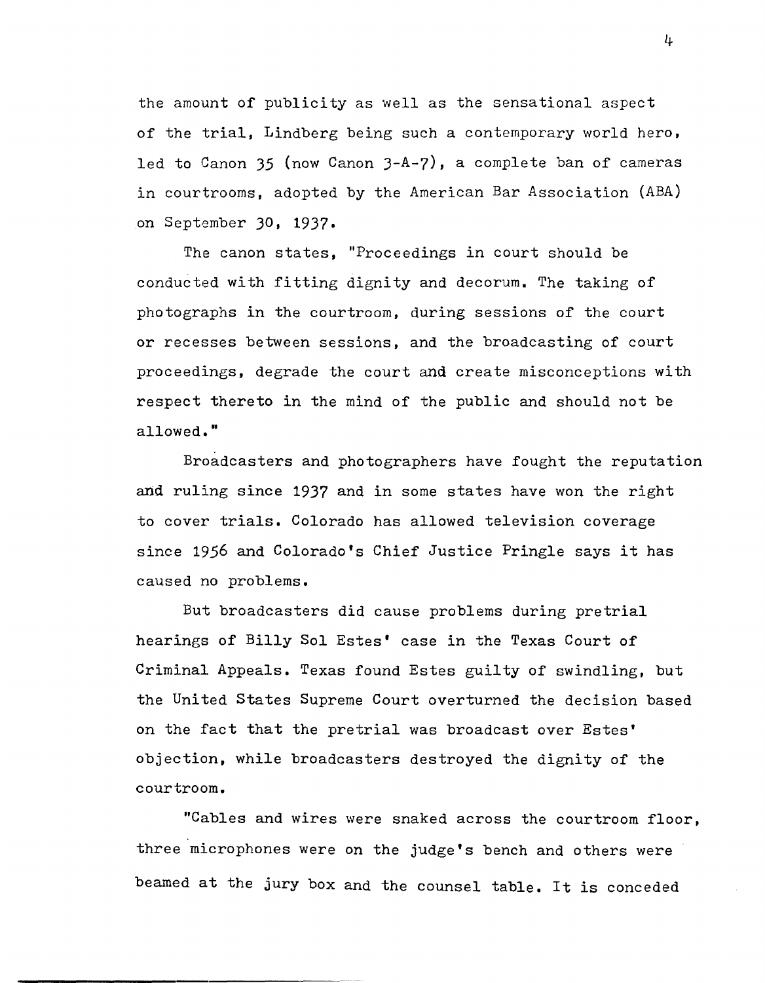the amount of publicity as well as the sensational aspect of the trial, Lindberg being such a contemporary world hero, led to Canon 35 (now Canon J-A-7), a complete ban of cameras in courtrooms, adopted by the American Bar Association (ABA) on September 30, 1937.

The canon states, "Proceedings in court should be conducted with fitting dignity and decorum. The taking of photographs in the courtroom, during sessions of the court or recesses between sessions, and the broadcasting of court proceedings, degrade the court and create misconceptions with respect thereto in the mind of the public and should not be allowed."

Broadcasters and photographers have fought the reputation and ruling since 19J7 and in some states have won the right to cover trials. Colorado has allowed television coverage since 1956 and Colorado's Chief Justice Pringle says it has caused no problems.

But broadcasters did cause problems during pretrial hearings of Billy Sol Estes' case in the Texas Court of Criminal Appeals. Texas found Estes guilty of swindling, but the United States Supreme Court overturned the decision based on the fact that the pretrial was broadcast over Estes' objection, while broadcasters destroyed the dignity of the courtroom.

"Cables and wires were snaked across the courtroom floor, three microphones were on the judge's bench and others were beamed at the jury box and the counsel table. It is conceded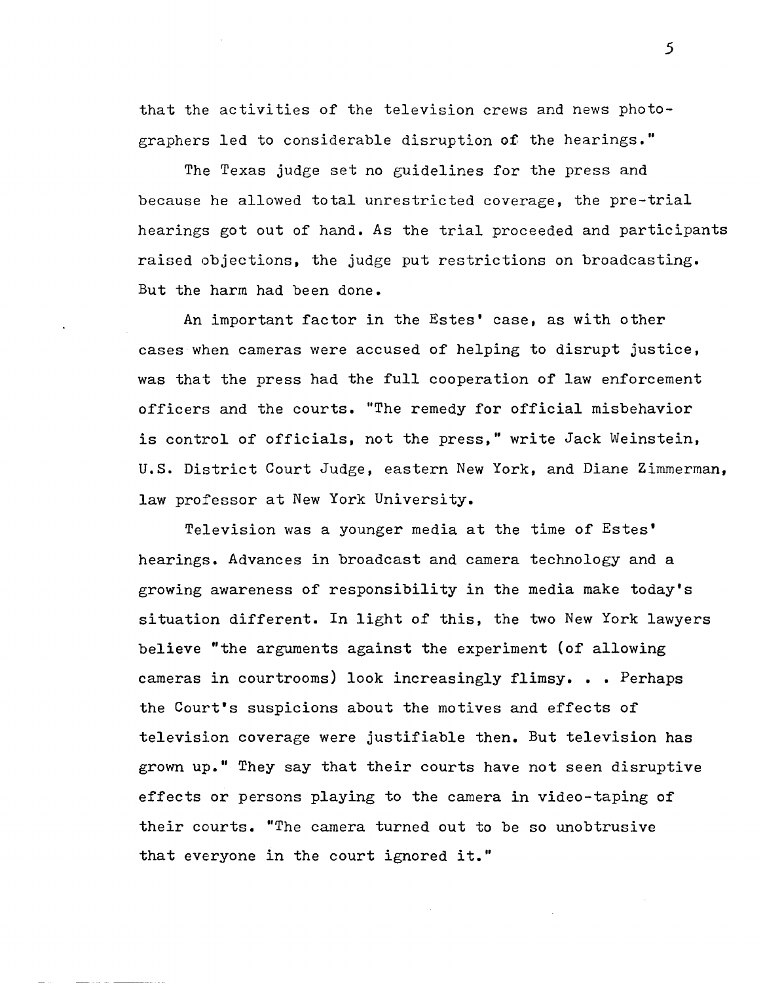that the activities of the television crews and news photographers led to considerable disruption o£ the hearings."

The Texas judge set no guidelines for the press and because he allowed total unrestricted coverage, the pre-trial hearings got out of hand. As the trial proceeded and participants raised objections, the judge put restrictions on broadcasting. But the harm had been done.

An important factor in the Estes' case, as with other cases when cameras were accused of helping to disrupt justice, was that the press had the full cooperation of law enforcement officers and the courts. "The remedy for official misbehavior is control of officials, not the press," write Jack Weinstein, u.s. District Court Judge, eastern New York, and Diane Zimmerman, law professor at New York University.

Television was a younger media at the time of Estes' hearings. Advances in broadcast and camera technology and a growing awareness of responsibility in the media make today's situation different. In light of this, the two New York lawyers believe "the arguments against the experiment (of allowing cameras in courtrooms) look increasingly flimsy. • • Perhaps the Court's suspicions about the motives and effects of television coverage were justifiable then. But television has grown up." They say that their courts have not seen disruptive effects or persons playing to the camera in video-taping of their courts. "The camera turned out to be so unobtrusive that everyone in the court ignored it."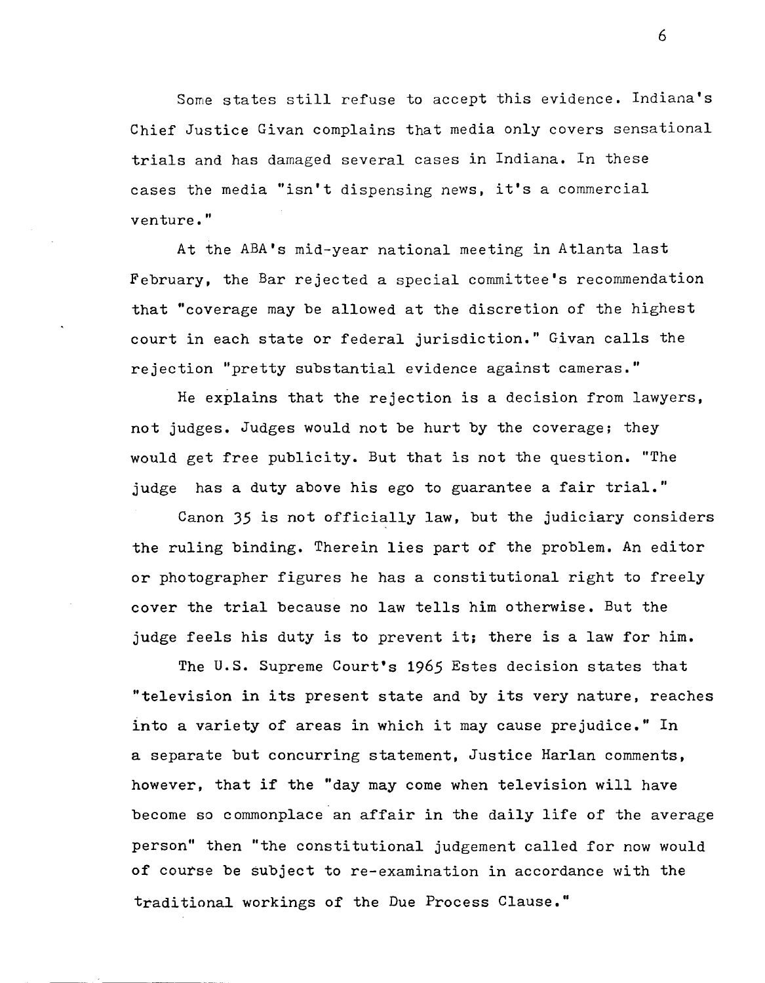Some states still refuse to accept this evidence. Indiana's Chief Justice Givan complains that media only covers sensational trials and has damaged several cases in Indiana. In these cases the media "isn't dispensing news, it's a commercial venture."

At the ABA's mid-year national meeting in Atlanta last February, the Bar rejected a special committee's recommendation that "coverage may be allowed at the discretion of the highest court in each state or federal jurisdiction." Givan calls the rejection "pretty substantial evidence against cameras."

He explains that the rejection is a decision from lawyers, not judges. Judges would not be hurt by the coverage; they would get free publicity. But that is not the question. "The judge has a duty above his ego to guarantee a fair trial."

Canon 35 is not officially law, but the judiciary considers the ruling binding. Therein lies part of the problem. An editor or photographer figures he has a constitutional right to freely cover the trial because no law tells him otherwise. But the judge feels his duty is to prevent it; there is a law for him.

The U.S. Supreme Court's 1965 Estes decision states that "television in its present state and by its very nature, reaches into a variety of areas in which it may cause prejudice." In a separate but concurring statement, Justice Harlan comments, however, that if the "day may come when television will have become so commonplace an affair in the daily life of the average person" then "the constitutional judgement called for now would of course be subject to re-examination in accordance with the traditional workings of the Due Process Clause."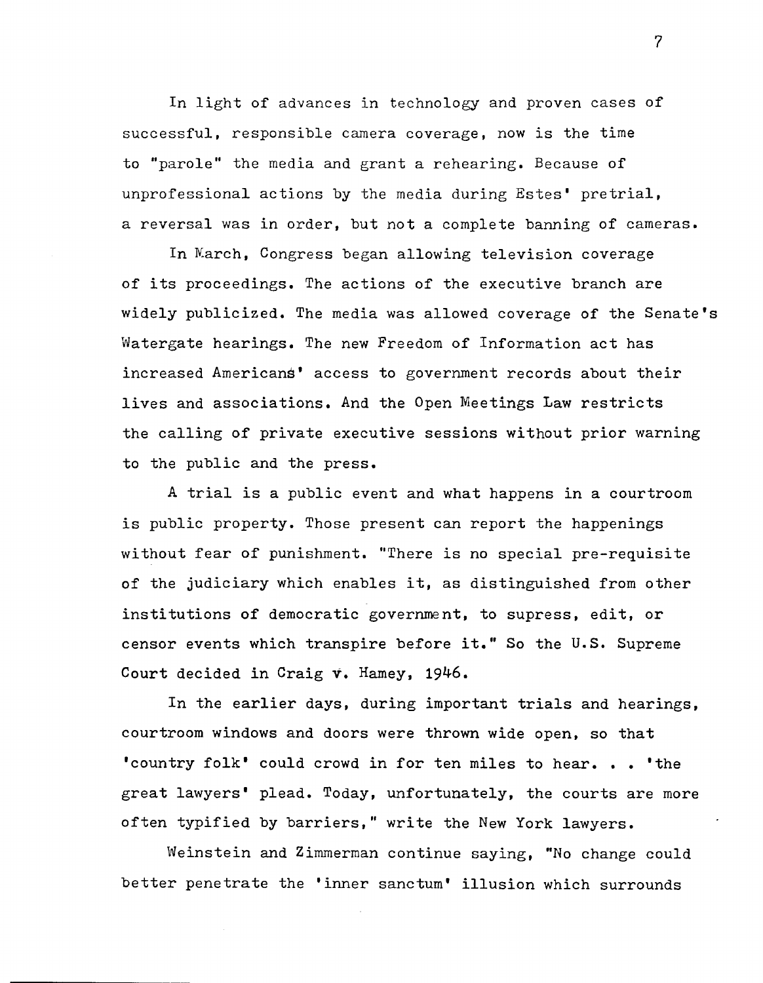In light of advances in technology and proven cases of successful, responsible camera coverage, now is the time to "parole" the media and grant a rehearing. Because of unprofessional actions by the media during Estes' pretrial, a reversal was in order, but not a complete banning of cameras.

In Karch, Congress began allowing television coverage of its proceedings. The actions of the executive branch are widely publicized. The media was allowed coverage of the Senate's Watergate hearings. The new Freedom of Information act has increased Americans' access to government records about their lives and associations. And the Open Meetings Law restricts the calling of private executive sessions without prior warning to the public and the press.

A trial is a public event and what happens in a courtroom is public property. Those present can report the happenings without fear of punishment. "There is no special pre-requisite of the judiciary which enables it, as distinguished from other institutions of democratic government, to supress, edit, or censor events which transpire before it." So the U.S. Supreme Court decided in Craig v. Hamey, 1946.

In the earlier days, during important trials and hearings, courtroom windows and doors were thrown wide open, so that 'country folk' could crowd in for ten miles to hear. . . 'the great lawyers' plead. Today, unfortunately, the courts are more often typified by barriers," write the New York lawyers.

Weinstein and Zimmerman continue saying, "No change could better penetrate the 'inner sanctum' illusion which surrounds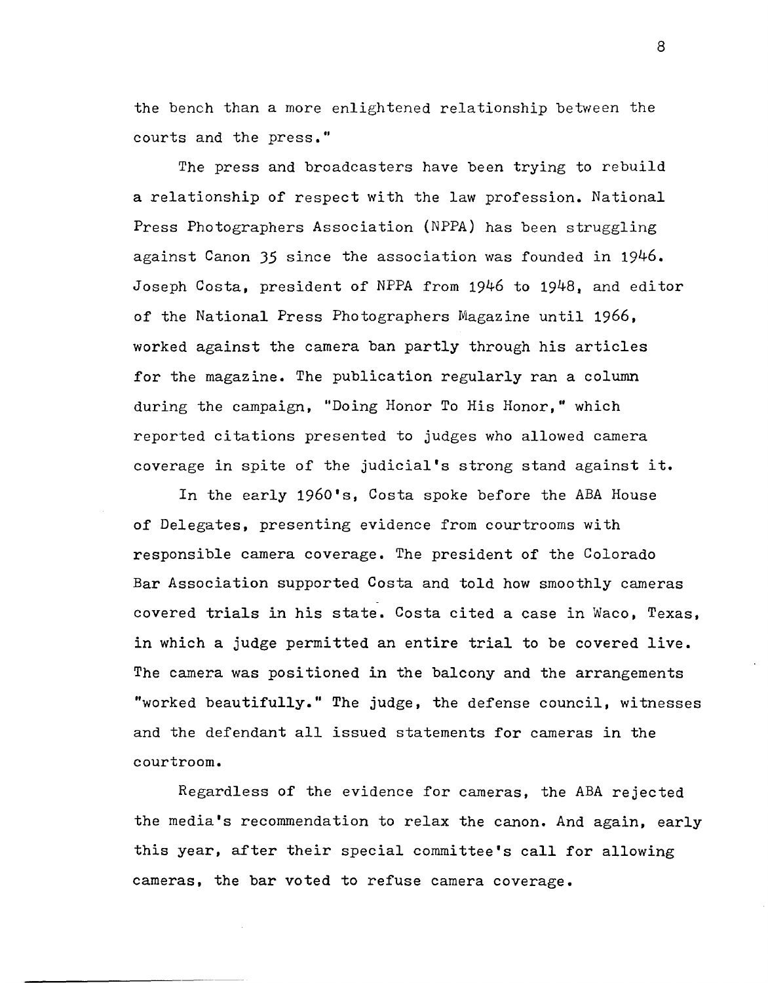the bench than a more enlightened relationship between the courts and the press."

The press and broadcasters have been trying to rebuild a relationship of respect with the law profession. National Press Photographers Association (NPPA) has been struggling against Canon 35 since the association was founded in 1946. Joseph Costa, president of NPPA from 1946 to 1948, and editor of the National Press Photographers Magazine until 1966, worked against the camera ban partly through his articles for the magazine. The publication regularly ran a column during the campaign, "Doing Honor To His Honor," which reported citations presented to judges who allowed camera coverage in spite of the judicial's strong stand against it.

In the early 1960's, Costa spoke before the ABA House of Delegates, presenting evidence from courtrooms with responsible camera coverage. The president of the Colorado Bar Association supported Costa and told how smoothly cameras covered trials in his state. Costa cited a case in Waco, Texas, in which a judge permitted an entire trial to be covered live. The camera was positioned in the balcony and the arrangements "worked beautifully." The judge, the defense council, witnesses and the defendant all issued statements for cameras in the courtroom.

Regardless of the evidence for cameras, the ABA rejected the media's recommendation to relax the canon. And again, early this year, after their special committee's call for allowing cameras, the bar voted to refuse camera coverage.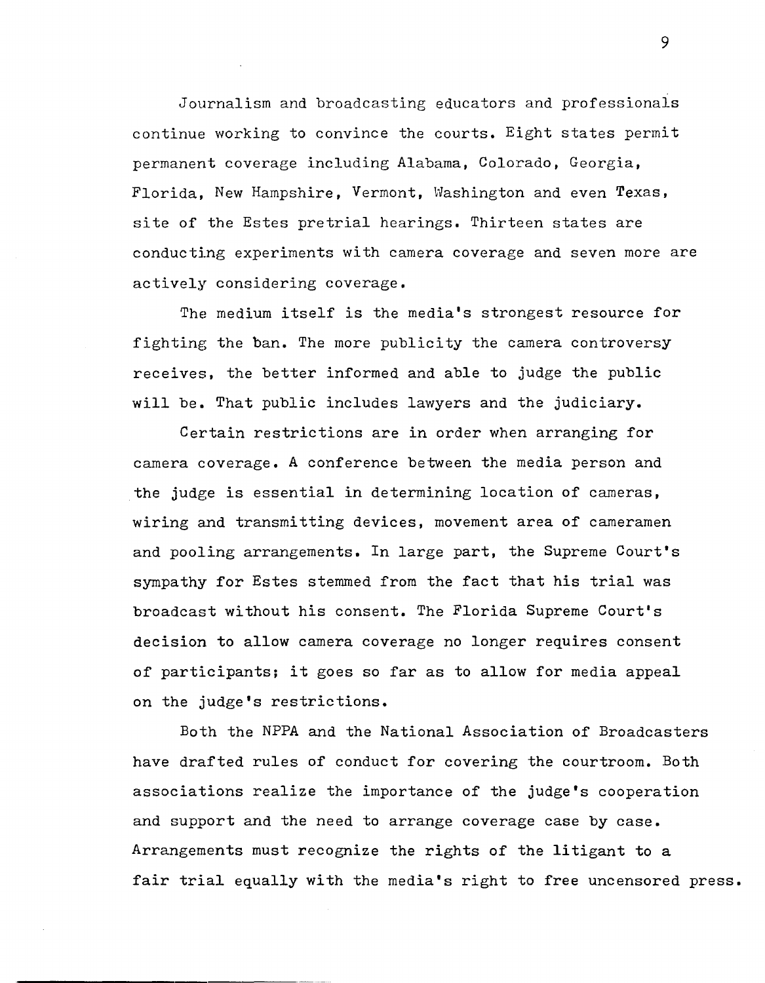Journalism and broadcasting educators and professionals continue working to convince the courts. Eight states permit permanent coverage including Alabama, Colorado, Georgia, Florida, New Hampshire, Vermont, Washington and even Texas, site of the Estes pretrial hearings. Thirteen states are conducting experiments with camera coverage and seven more are actively considering coverage.

The medium itself is the media's strongest resource for fighting the ban. The more publicity the camera controversy receives, the better informed and able to judge the public will be. That public includes lawyers and the judiciary.

Certain restrictions are in order when arranging for camera coverage. A conference between the media person and the judge is essential in determining location of cameras, wiring and transmitting devices, movement area of cameramen and pooling arrangements. In large part, the Supreme Court's sympathy for Estes stemmed from the fact that his trial was broadcast without his consent. The Florida Supreme Court's decision to allow camera coverage no longer requires consent of participants; it goes so far as to allow for media appeal on the judge's restrictions.

Both the NPPA and the National Association of Broadcasters have drafted rules of conduct for covering the courtroom. Both associations realize the importance of the judge's cooperation and support and the need to arrange coverage case by case. Arrangements must recognize the rights of the litigant to a fair trial equally with the media's right to free uncensored press.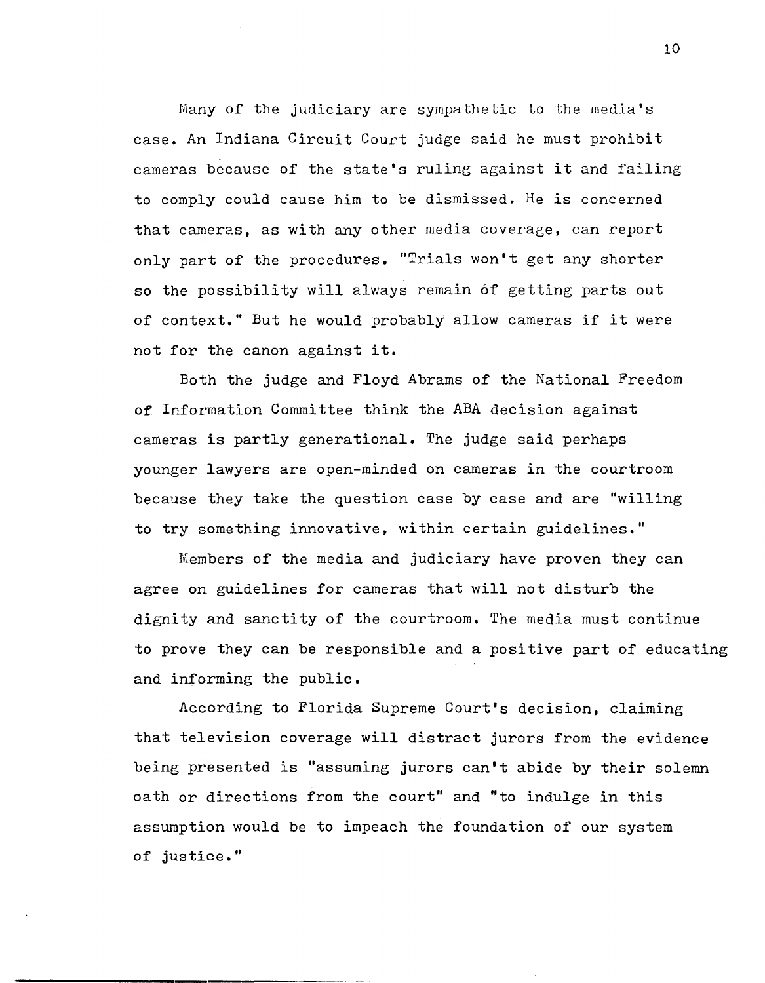Many of the judiciary are sympathetic to the media's case. An Indiana Circuit Court judge said he must prohibit cameras because of the state's ruling against it and failing to comply could cause him to be dismissed. He is concerned that cameras, as with any other media coverage, can report only part of the procedures. "Trials won't get any shorter so the possibility will always remain 6f getting parts out of context." But he would probably allow cameras if it were not for the canon against it.

Both the judge and Floyd Abrams of the National Freedom of Information Committee think the ABA decision against cameras is partly generational. The judge said perhaps younger lawyers are open-minded on cameras in the courtroom because they take the question case by case and are "willing to try something innovative, within certain guidelines."

Members of the media and judiciary have proven they can agree on guidelines for cameras that will not disturb the dignity and sanctity of the courtroom. The media must continue to prove they can be responsible and a positive part of educating and informing the public.

According to Florida Supreme Court's decision, claiming that television coverage will distract jurors from the evidence being presented is "assuming jurors can't abide by their solemn oath or directions from the court" and "to indulge in this assumption would be to impeach the foundation of our system of justice."